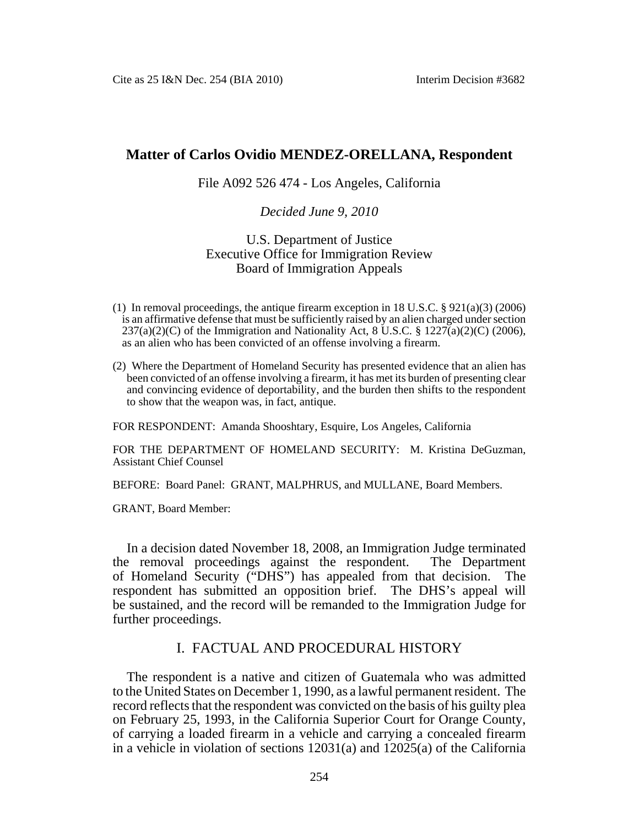## **Matter of Carlos Ovidio MENDEZ-ORELLANA, Respondent**

#### File A092 526 474 - Los Angeles, California

#### *Decided June 9, 2010*

### U.S. Department of Justice Executive Office for Immigration Review Board of Immigration Appeals

- (1) In removal proceedings, the antique firearm exception in 18 U.S.C.  $\S 921(a)(3) (2006)$ is an affirmative defense that must be sufficiently raised by an alien charged under section  $237(a)(2)(C)$  of the Immigration and Nationality Act, 8 U.S.C. § 1227(a)(2)(C) (2006), as an alien who has been convicted of an offense involving a firearm.
- (2) Where the Department of Homeland Security has presented evidence that an alien has been convicted of an offense involving a firearm, it has met its burden of presenting clear and convincing evidence of deportability, and the burden then shifts to the respondent to show that the weapon was, in fact, antique.

FOR RESPONDENT: Amanda Shooshtary, Esquire, Los Angeles, California

FOR THE DEPARTMENT OF HOMELAND SECURITY: M. Kristina DeGuzman, Assistant Chief Counsel

BEFORE: Board Panel: GRANT, MALPHRUS, and MULLANE, Board Members.

GRANT, Board Member:

In a decision dated November 18, 2008, an Immigration Judge terminated the removal proceedings against the respondent. The Department of Homeland Security ("DHS") has appealed from that decision. The respondent has submitted an opposition brief. The DHS's appeal will be sustained, and the record will be remanded to the Immigration Judge for further proceedings.

# I. FACTUAL AND PROCEDURAL HISTORY

The respondent is a native and citizen of Guatemala who was admitted to the United States on December 1, 1990, as a lawful permanent resident. The record reflects that the respondent was convicted on the basis of his guilty plea on February 25, 1993, in the California Superior Court for Orange County, of carrying a loaded firearm in a vehicle and carrying a concealed firearm in a vehicle in violation of sections 12031(a) and 12025(a) of the California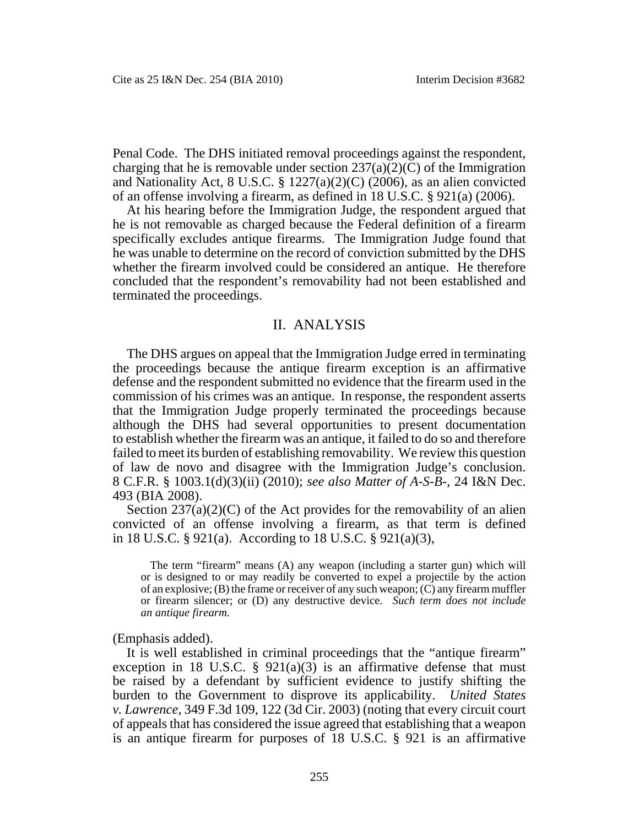Penal Code. The DHS initiated removal proceedings against the respondent, charging that he is removable under section  $237(a)(2)(C)$  of the Immigration and Nationality Act, 8 U.S.C. § 1227(a)(2)(C) (2006), as an alien convicted of an offense involving a firearm, as defined in 18 U.S.C. § 921(a) (2006).

At his hearing before the Immigration Judge, the respondent argued that he is not removable as charged because the Federal definition of a firearm specifically excludes antique firearms. The Immigration Judge found that he was unable to determine on the record of conviction submitted by the DHS whether the firearm involved could be considered an antique. He therefore concluded that the respondent's removability had not been established and terminated the proceedings.

### II. ANALYSIS

The DHS argues on appeal that the Immigration Judge erred in terminating the proceedings because the antique firearm exception is an affirmative defense and the respondent submitted no evidence that the firearm used in the commission of his crimes was an antique. In response, the respondent asserts that the Immigration Judge properly terminated the proceedings because although the DHS had several opportunities to present documentation to establish whether the firearm was an antique, it failed to do so and therefore failed to meet its burden of establishing removability. We review this question of law de novo and disagree with the Immigration Judge's conclusion. 8 C.F.R. § 1003.1(d)(3)(ii) (2010); *see also Matter of A-S-B*-, 24 I&N Dec. 493 (BIA 2008).

Section  $237(a)(2)(C)$  of the Act provides for the removability of an alien convicted of an offense involving a firearm, as that term is defined in 18 U.S.C. § 921(a). According to 18 U.S.C. § 921(a)(3),

The term "firearm" means (A) any weapon (including a starter gun) which will or is designed to or may readily be converted to expel a projectile by the action of an explosive; (B) the frame or receiver of any such weapon; (C) any firearm muffler or firearm silencer; or (D) any destructive device*. Such term does not include an antique firearm.*

(Emphasis added).

It is well established in criminal proceedings that the "antique firearm" exception in 18 U.S.C.  $\S$  921(a)(3) is an affirmative defense that must be raised by a defendant by sufficient evidence to justify shifting the burden to the Government to disprove its applicability. *United States v. Lawrence*, 349 F.3d 109, 122 (3d Cir. 2003) (noting that every circuit court of appeals that has considered the issue agreed that establishing that a weapon is an antique firearm for purposes of 18 U.S.C. § 921 is an affirmative